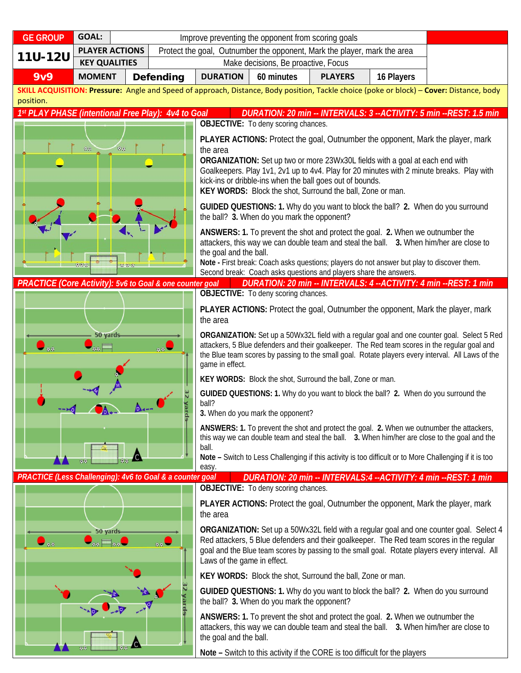